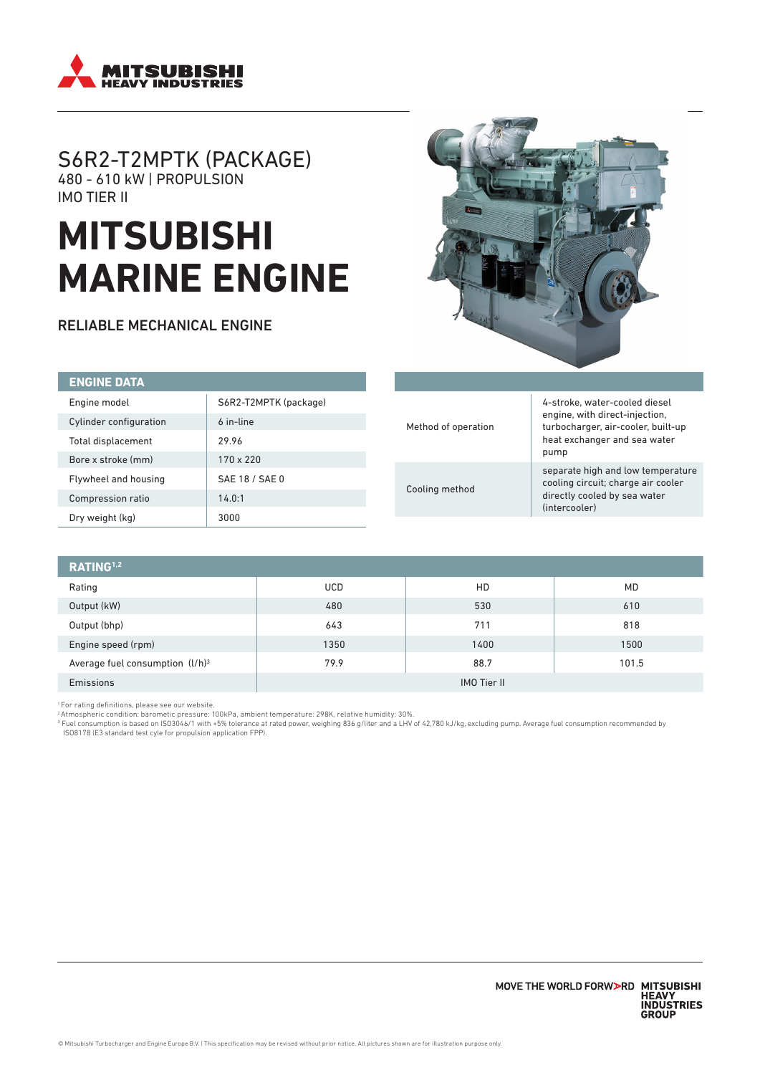

## S6R2-T2MPTK (PACKAGE) 480 - 610 kW | PROPULSION IMO TIER II

# **MITSUBISHI MARINE ENGINE**

RELIABLE MECHANICAL ENGINE



| <b>ENGINE DATA</b>     |                       |  |                                       |                                                                                                                                                                                         |
|------------------------|-----------------------|--|---------------------------------------|-----------------------------------------------------------------------------------------------------------------------------------------------------------------------------------------|
| Engine model           | S6R2-T2MPTK (package) |  | 4-stroke, water-cooled diesel         |                                                                                                                                                                                         |
| Cylinder configuration | 6 in-line             |  | Method of operation<br>Cooling method | engine, with direct-injection,<br>turbocharger, air-cooler, built-up<br>heat exchanger and sea water<br>pump<br>separate high and low temperature<br>cooling circuit; charge air cooler |
| Total displacement     | 29.96                 |  |                                       |                                                                                                                                                                                         |
| Bore x stroke (mm)     | 170 x 220             |  |                                       |                                                                                                                                                                                         |
| Flywheel and housing   | SAE 18 / SAE 0        |  |                                       |                                                                                                                                                                                         |
| Compression ratio      | 14.0:1                |  | directly cooled by sea water          |                                                                                                                                                                                         |
| Dry weight (kg)        | 3000                  |  |                                       | (intercooler)                                                                                                                                                                           |

| RATING <sup>1,2</sup>              |                    |      |           |  |
|------------------------------------|--------------------|------|-----------|--|
| Rating                             | <b>UCD</b>         | HD   | <b>MD</b> |  |
| Output (kW)                        | 480                | 530  | 610       |  |
| Output (bhp)                       | 643                | 711  | 818       |  |
| Engine speed (rpm)                 | 1350               | 1400 | 1500      |  |
| Average fuel consumption $(l/h)^3$ | 79.9               | 88.7 | 101.5     |  |
| Emissions                          | <b>IMO Tier II</b> |      |           |  |

'For rating definitions, please see our website.<br><sup>2</sup> Atmospheric condition: barometic pressure: 100kPa, ambient temperature: 298K, relative humidity: 30%.<br><sup>3</sup> Fuel consumption is based on ISO3046/1 with +5% tolerance at ra